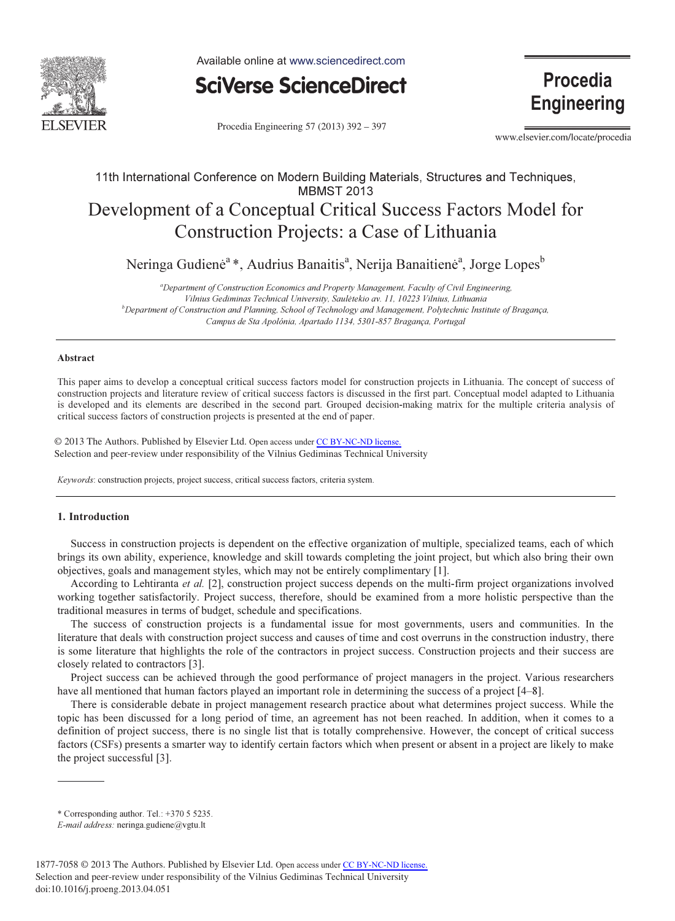

Available online at www.sciencedirect.com



Procedia Engineering 57 (2013) 392 - 397

**Procedia Engineering** 

www.elsevier.com/locate/procedia

## 11th International Conference on Modern Building Materials, Structures and Techniques, **MBMST 2013** Development of a Conceptual Critical Success Factors Model for Construction Projects: a Case of Lithuania

Neringa Gudienė<sup>a</sup> \*, Audrius Banaitis<sup>a</sup>, Nerija Banaitienė<sup>a</sup>, Jorge Lopes<sup>b</sup>

<sup>a</sup>Department of Construction Economics and Property Management, Faculty of Civil Engineering, Vilnius Gediminas Technical University, Saulėtekio av. 11, 10223 Vilnius, Lithuania <sup>b</sup>  $b$ Department of Construction and Planning, School of Technology and Management, Polytechnic Institute of Bragança, Campus de Sta Apolónia, Apartado 1134, 5301-857 Bragança, Portugal

## Abstract

This paper aims to develop a conceptual critical success factors model for construction projects in Lithuania. The concept of success of construction projects and literature review of critical success factors is discussed in the first part. Conceptual model adapted to Lithuania is developed and its elements are described in the second part. Grouped decision-making matrix for the multiple criteria analysis of critical success factors of construction projects is presented at the end of paper.

© 2013 The Authors. Published by Elsevier Ltd. © 2013 The Authors. Published by Elsevier Ltd. Open access under [CC BY-NC-ND license.](http://creativecommons.org/licenses/by-nc-nd/3.0/) Selection and peer-review under responsibility of the Vilnius Gediminas Technical University. Selection and peer-review under responsibility of the Vilnius Gediminas Technical University

Keywords: construction projects, project success, critical success factors, criteria system.

## 1. Introduction

Success in construction projects is dependent on the effective organization of multiple, specialized teams, each of which brings its own ability, experience, knowledge and skill towards completing the joint project, but which also bring their own objectives, goals and management styles, which may not be entirely complimentary [1].

According to Lehtiranta et al. [2], construction project success depends on the multi-firm project organizations involved working together satisfactorily. Project success, therefore, should be examined from a more holistic perspective than the traditional measures in terms of budget, schedule and specifications.

The success of construction projects is a fundamental issue for most governments, users and communities. In the literature that deals with construction project success and causes of time and cost overruns in the construction industry, there is some literature that highlights the role of the contractors in project success. Construction projects and their success are closely related to contractors [3].

Project success can be achieved through the good performance of project managers in the project. Various researchers have all mentioned that human factors played an important role in determining the success of a project [4–8].

There is considerable debate in project management research practice about what determines project success. While the topic has been discussed for a long period of time, an agreement has not been reached. In addition, when it comes to a definition of project success, there is no single list that is totally comprehensive. However, the concept of critical success factors (CSFs) presents a smarter way to identify certain factors which when present or absent in a project are likely to make the project successful [3].

<sup>\*</sup> Corresponding author. Tel.: +370 5 5235.

E-mail address: neringa.gudiene@vgtu.lt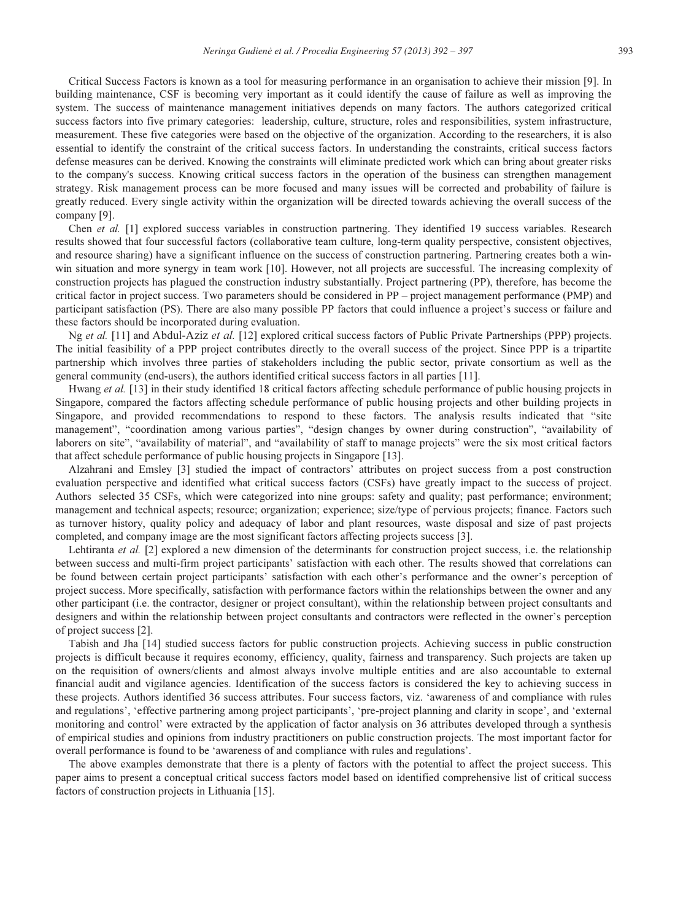Critical Success Factors is known as a tool for measuring performance in an organisation to achieve their mission [9]. In building maintenance, CSF is becoming very important as it could identify the cause of failure as well as improving the system. The success of maintenance management initiatives depends on many factors. The authors categorized critical success factors into five primary categories: leadership, culture, structure, roles and responsibilities, system infrastructure, measurement. These five categories were based on the objective of the organization. According to the researchers, it is also essential to identify the constraint of the critical success factors. In understanding the constraints, critical success factors defense measures can be derived. Knowing the constraints will eliminate predicted work which can bring about greater risks to the company's success. Knowing critical success factors in the operation of the business can strengthen management strategy. Risk management process can be more focused and many issues will be corrected and probability of failure is greatly reduced. Every single activity within the organization will be directed towards achieving the overall success of the company [9].

Chen et al. [1] explored success variables in construction partnering. They identified 19 success variables. Research results showed that four successful factors (collaborative team culture, long-term quality perspective, consistent objectives, and resource sharing) have a significant influence on the success of construction partnering. Partnering creates both a winwin situation and more synergy in team work [10]. However, not all projects are successful. The increasing complexity of construction projects has plagued the construction industry substantially. Project partnering (PP), therefore, has become the critical factor in project success. Two parameters should be considered in PP – project management performance (PMP) and participant satisfaction (PS). There are also many possible PP factors that could influence a project's success or failure and these factors should be incorporated during evaluation.

Ng et al. [11] and Abdul-Aziz et al. [12] explored critical success factors of Public Private Partnerships (PPP) projects. The initial feasibility of a PPP project contributes directly to the overall success of the project. Since PPP is a tripartite partnership which involves three parties of stakeholders including the public sector, private consortium as well as the general community (end-users), the authors identified critical success factors in all parties [11].

Hwang et al. [13] in their study identified 18 critical factors affecting schedule performance of public housing projects in Singapore, compared the factors affecting schedule performance of public housing projects and other building projects in Singapore, and provided recommendations to respond to these factors. The analysis results indicated that "site management", "coordination among various parties", "design changes by owner during construction", "availability of laborers on site", "availability of material", and "availability of staff to manage projects" were the six most critical factors that affect schedule performance of public housing projects in Singapore [13].

Alzahrani and Emsley [3] studied the impact of contractors' attributes on project success from a post construction evaluation perspective and identified what critical success factors (CSFs) have greatly impact to the success of project. Authors selected 35 CSFs, which were categorized into nine groups: safety and quality; past performance; environment; management and technical aspects; resource; organization; experience; size/type of pervious projects; finance. Factors such as turnover history, quality policy and adequacy of labor and plant resources, waste disposal and size of past projects completed, and company image are the most significant factors affecting projects success [3].

Lehtiranta et al. [2] explored a new dimension of the determinants for construction project success, i.e. the relationship between success and multi-firm project participants' satisfaction with each other. The results showed that correlations can be found between certain project participants' satisfaction with each other's performance and the owner's perception of project success. More specifically, satisfaction with performance factors within the relationships between the owner and any other participant (i.e. the contractor, designer or project consultant), within the relationship between project consultants and designers and within the relationship between project consultants and contractors were reflected in the owner's perception of project success [2].

Tabish and Jha [14] studied success factors for public construction projects. Achieving success in public construction projects is difficult because it requires economy, efficiency, quality, fairness and transparency. Such projects are taken up on the requisition of owners/clients and almost always involve multiple entities and are also accountable to external financial audit and vigilance agencies. Identification of the success factors is considered the key to achieving success in these projects. Authors identified 36 success attributes. Four success factors, viz. 'awareness of and compliance with rules and regulations', 'effective partnering among project participants', 'pre-project planning and clarity in scope', and 'external monitoring and control' were extracted by the application of factor analysis on 36 attributes developed through a synthesis of empirical studies and opinions from industry practitioners on public construction projects. The most important factor for overall performance is found to be 'awareness of and compliance with rules and regulations'.

The above examples demonstrate that there is a plenty of factors with the potential to affect the project success. This paper aims to present a conceptual critical success factors model based on identified comprehensive list of critical success factors of construction projects in Lithuania [15].